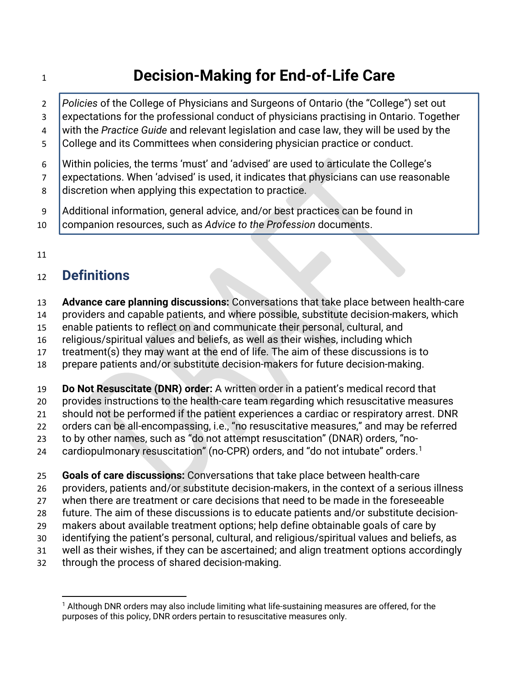# **Decision-Making for End-of-Life Care**

 *Policies* of the College of Physicians and Surgeons of Ontario (the "College") set out expectations for the professional conduct of physicians practising in Ontario. Together with the *Practice Guide* and relevant legislation and case law, they will be used by the College and its Committees when considering physician practice or conduct. Within policies, the terms 'must' and 'advised' are used to articulate the College's expectations. When 'advised' is used, it indicates that physicians can use reasonable 8 discretion when applying this expectation to practice.

Additional information, general advice, and/or best practices can be found in

- companion resources, such as *Advice to the Profession* documents.
- 

## **Definitions**

- **Advance care planning discussions:** Conversations that take place between health-care
- providers and capable patients, and where possible, substitute decision-makers, which
- enable patients to reflect on and communicate their personal, cultural, and
- religious/spiritual values and beliefs, as well as their wishes, including which
- treatment(s) they may want at the end of life. The aim of these discussions is to
- prepare patients and/or substitute decision-makers for future decision-making.

**Do Not Resuscitate (DNR) order:** A written order in a patient's medical record that

- provides instructions to the health-care team regarding which resuscitative measures
- should not be performed if the patient experiences a cardiac or respiratory arrest. DNR
- orders can be all-encompassing, i.e., "no resuscitative measures," and may be referred
- to by other names, such as "do not attempt resuscitation" (DNAR) orders, "no-
- $\phantom{1}$  $\phantom{1}$  $\phantom{1}$  cardiopulmonary resuscitation" (no-CPR) orders, and "do not intubate" orders.<sup>1</sup>

**Goals of care discussions:** Conversations that take place between health-care

- providers, patients and/or substitute decision-makers, in the context of a serious illness
- when there are treatment or care decisions that need to be made in the foreseeable
- future. The aim of these discussions is to educate patients and/or substitute decision-
- makers about available treatment options; help define obtainable goals of care by
- identifying the patient's personal, cultural, and religious/spiritual values and beliefs, as
- well as their wishes, if they can be ascertained; and align treatment options accordingly
- <span id="page-0-0"></span>through the process of shared decision-making.

 Although DNR orders may also include limiting what life-sustaining measures are offered, for the purposes of this policy, DNR orders pertain to resuscitative measures only.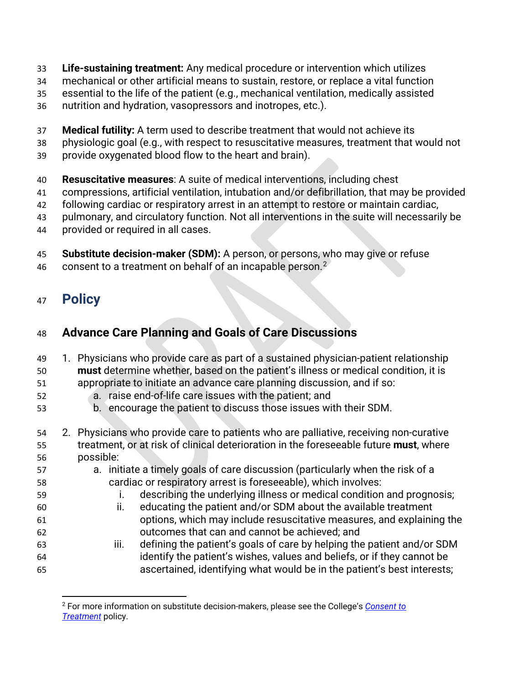- **Life-sustaining treatment:** Any medical procedure or intervention which utilizes
- mechanical or other artificial means to sustain, restore, or replace a vital function
- essential to the life of the patient (e.g., mechanical ventilation, medically assisted
- nutrition and hydration, vasopressors and inotropes, etc.).
- **Medical futility:** A term used to describe treatment that would not achieve its
- physiologic goal (e.g., with respect to resuscitative measures, treatment that would not
- provide oxygenated blood flow to the heart and brain).
- **Resuscitative measures**: A suite of medical interventions, including chest
- compressions, artificial ventilation, intubation and/or defibrillation, that may be provided
- following cardiac or respiratory arrest in an attempt to restore or maintain cardiac,
- pulmonary, and circulatory function. Not all interventions in the suite will necessarily be
- provided or required in all cases.
- **Substitute decision-maker (SDM):** A person, or persons, who may give or refuse
- 46 consent to a treatment on behalf of an incapable person.<sup>[2](#page-1-0)</sup>

## **Policy**

## **Advance Care Planning and Goals of Care Discussions**

- 1. Physicians who provide care as part of a sustained physician-patient relationship **must** determine whether, based on the patient's illness or medical condition, it is
- appropriate to initiate an advance care planning discussion, and if so:
- a. raise end-of-life care issues with the patient; and
- b. encourage the patient to discuss those issues with their SDM.
- 2. Physicians who provide care to patients who are palliative, receiving non-curative treatment, or at risk of clinical deterioration in the foreseeable future **must**, where possible:
- a. initiate a timely goals of care discussion (particularly when the risk of a cardiac or respiratory arrest is foreseeable), which involves:
- i. describing the underlying illness or medical condition and prognosis;
- ii. educating the patient and/or SDM about the available treatment options, which may include resuscitative measures, and explaining the outcomes that can and cannot be achieved; and
- iii. defining the patient's goals of care by helping the patient and/or SDM identify the patient's wishes, values and beliefs, or if they cannot be ascertained, identifying what would be in the patient's best interests;

<span id="page-1-0"></span> For more information on substitute decision-makers, please see the College's *[Consent to](https://www.cpso.on.ca/Physicians/Policies-Guidance/Policies/Consent-to-Treatment)  [Treatment](https://www.cpso.on.ca/Physicians/Policies-Guidance/Policies/Consent-to-Treatment)* policy.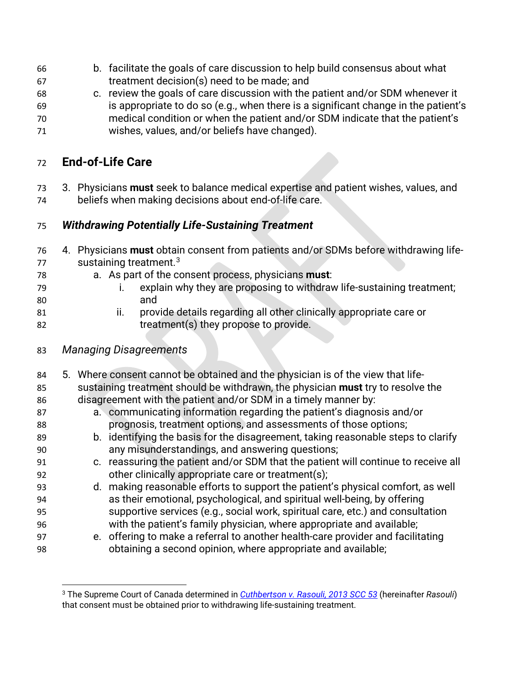- b. facilitate the goals of care discussion to help build consensus about what treatment decision(s) need to be made; and
- c. review the goals of care discussion with the patient and/or SDM whenever it is appropriate to do so (e.g., when there is a significant change in the patient's medical condition or when the patient and/or SDM indicate that the patient's wishes, values, and/or beliefs have changed).

### **End-of-Life Care**

 3. Physicians **must** seek to balance medical expertise and patient wishes, values, and beliefs when making decisions about end-of-life care.

#### *Withdrawing Potentially Life-Sustaining Treatment*

- 4. Physicians **must** obtain consent from patients and/or SDMs before withdrawing life-sustaining treatment.<sup>[3](#page-2-0)</sup>
- a. As part of the consent process, physicians **must**:
- i. explain why they are proposing to withdraw life-sustaining treatment; and
- ii. provide details regarding all other clinically appropriate care or treatment(s) they propose to provide.
- *Managing Disagreements*
- 5. Where consent cannot be obtained and the physician is of the view that life- sustaining treatment should be withdrawn, the physician **must** try to resolve the disagreement with the patient and/or SDM in a timely manner by: a. communicating information regarding the patient's diagnosis and/or prognosis, treatment options, and assessments of those options; b. identifying the basis for the disagreement, taking reasonable steps to clarify any misunderstandings, and answering questions; c. reassuring the patient and/or SDM that the patient will continue to receive all other clinically appropriate care or treatment(s); d. making reasonable efforts to support the patient's physical comfort, as well as their emotional, psychological, and spiritual well-being, by offering supportive services (e.g., social work, spiritual care, etc.) and consultation with the patient's family physician, where appropriate and available; e. offering to make a referral to another health-care provider and facilitating obtaining a second opinion, where appropriate and available;

<span id="page-2-0"></span> The Supreme Court of Canada determined in *[Cuthbertson v. Rasouli, 2013 SCC 53](https://scc-csc.lexum.com/scc-csc/scc-csc/en/13290/1/document.do)* (hereinafter *Rasouli*) that consent must be obtained prior to withdrawing life-sustaining treatment.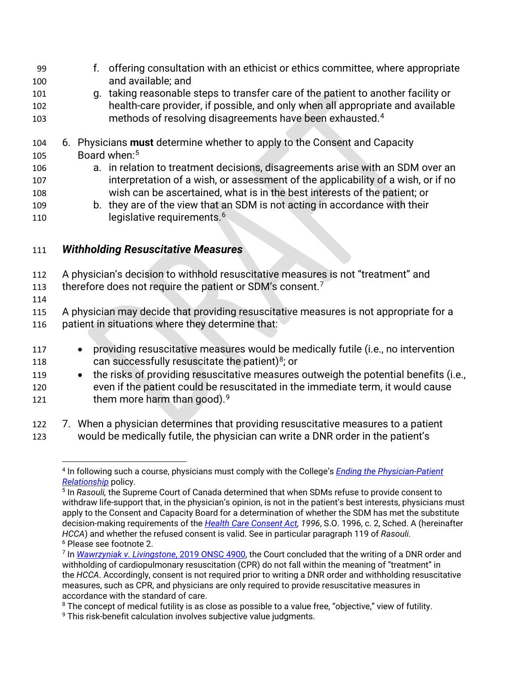- 99 f. offering consultation with an ethicist or ethics committee, where appropriate 100 and available; and
- 101 g. taking reasonable steps to transfer care of the patient to another facility or 102 health-care provider, if possible, and only when all appropriate and available nethods of resolving disagreements have been exhausted.<sup>[4](#page-3-0)</sup>
- 104 6. Physicians **must** determine whether to apply to the Consent and Capacity 10[5](#page-3-1) Board when:<sup>5</sup>
- 106 a. in relation to treatment decisions, disagreements arise with an SDM over an 107 interpretation of a wish, or assessment of the applicability of a wish, or if no 108 wish can be ascertained, what is in the best interests of the patient; or
- 109 b. they are of the view that an SDM is not acting in accordance with their 110 legislative requirements.<sup>[6](#page-3-2)</sup>

#### 111 *Withholding Resuscitative Measures*

- 112 A physician's decision to withhold resuscitative measures is not "treatment" and
- 113 therefore does not require the patient or SDM's consent.<sup>[7](#page-3-3)</sup>
- 114

115 A physician may decide that providing resuscitative measures is not appropriate for a 116 patient in situations where they determine that:

- 117 providing resuscitative measures would be medically futile (i.e., no intervention 11[8](#page-3-4) **can successfully resuscitate the patient)**<sup>8</sup>; or
- 119 the risks of providing resuscitative measures outweigh the potential benefits (i.e., 120 even if the patient could be resuscitated in the immediate term, it would cause 121 them more harm than good).<sup>[9](#page-3-5)</sup>
- <span id="page-3-0"></span>122 7. When a physician determines that providing resuscitative measures to a patient 123 would be medically futile, the physician can write a DNR order in the patient's

<sup>4</sup> In following such a course, physicians must comply with the College's *[Ending the Physician-Patient](https://www.cpso.on.ca/Physicians/Policies-Guidance/Policies/Ending-the-Physician-Patient-Relationship)  [Relationship](https://www.cpso.on.ca/Physicians/Policies-Guidance/Policies/Ending-the-Physician-Patient-Relationship)* policy.

<span id="page-3-1"></span><sup>5</sup> In *Rasouli,* the Supreme Court of Canada determined that when SDMs refuse to provide consent to withdraw life-support that, in the physician's opinion, is not in the patient's best interests, physicians must apply to the Consent and Capacity Board for a determination of whether the SDM has met the substitute decision-making requirements of the *[Health Care Consent Act,](https://www.ontario.ca/laws/statute/96h02) 1996*, S.O. 1996, c. 2, Sched. A (hereinafter *HCCA*) and whether the refused consent is valid. See in particular paragraph 119 of *Rasouli.* <sup>6</sup> Please see footnote 2.

<span id="page-3-3"></span><span id="page-3-2"></span><sup>7</sup> In *[Wawrzyniak v. Livingstone](https://www.canlii.org/en/on/onsc/doc/2019/2019onsc4900/2019onsc4900.html)*, 2019 ONSC 4900, the Court concluded that the writing of a DNR order and withholding of cardiopulmonary resuscitation (CPR) do not fall within the meaning of "treatment" in the *HCCA*. Accordingly, consent is not required prior to writing a DNR order and withholding resuscitative measures, such as CPR, and physicians are only required to provide resuscitative measures in accordance with the standard of care.

<span id="page-3-4"></span><sup>&</sup>lt;sup>8</sup> The concept of medical futility is as close as possible to a value free, "objective," view of futility.

<span id="page-3-5"></span><sup>&</sup>lt;sup>9</sup> This risk-benefit calculation involves subjective value judgments.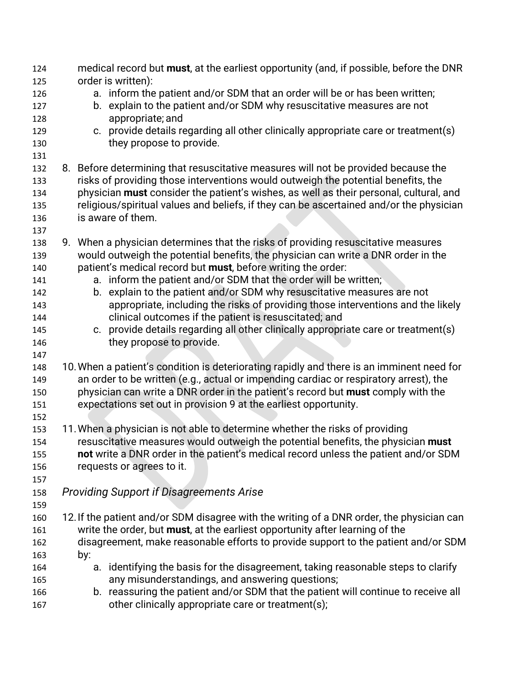| 124 | medical record but must, at the earliest opportunity (and, if possible, before the DNR        |
|-----|-----------------------------------------------------------------------------------------------|
| 125 | order is written):                                                                            |
| 126 | a. inform the patient and/or SDM that an order will be or has been written;                   |
| 127 | b. explain to the patient and/or SDM why resuscitative measures are not                       |
| 128 | appropriate; and                                                                              |
| 129 | c. provide details regarding all other clinically appropriate care or treatment(s)            |
| 130 | they propose to provide.                                                                      |
| 131 |                                                                                               |
| 132 | 8. Before determining that resuscitative measures will not be provided because the            |
| 133 | risks of providing those interventions would outweigh the potential benefits, the             |
| 134 | physician <b>must</b> consider the patient's wishes, as well as their personal, cultural, and |
| 135 | religious/spiritual values and beliefs, if they can be ascertained and/or the physician       |
| 136 | is aware of them.                                                                             |
| 137 |                                                                                               |
| 138 | 9. When a physician determines that the risks of providing resuscitative measures             |
| 139 | would outweigh the potential benefits, the physician can write a DNR order in the             |
| 140 | patient's medical record but must, before writing the order:                                  |
| 141 | a. inform the patient and/or SDM that the order will be written;                              |
| 142 | b. explain to the patient and/or SDM why resuscitative measures are not                       |
| 143 | appropriate, including the risks of providing those interventions and the likely              |
| 144 | clinical outcomes if the patient is resuscitated; and                                         |
| 145 | c. provide details regarding all other clinically appropriate care or treatment(s)            |
| 146 | they propose to provide.                                                                      |
| 147 |                                                                                               |
| 148 | 10. When a patient's condition is deteriorating rapidly and there is an imminent need for     |
| 149 | an order to be written (e.g., actual or impending cardiac or respiratory arrest), the         |
| 150 | physician can write a DNR order in the patient's record but must comply with the              |
| 151 | expectations set out in provision 9 at the earliest opportunity.                              |
| 152 |                                                                                               |
| 153 | 11. When a physician is not able to determine whether the risks of providing                  |
| 154 | resuscitative measures would outweigh the potential benefits, the physician must              |
| 155 | not write a DNR order in the patient's medical record unless the patient and/or SDM           |
| 156 | requests or agrees to it.                                                                     |
| 157 |                                                                                               |
| 158 | <b>Providing Support if Disagreements Arise</b>                                               |
| 159 |                                                                                               |
| 160 | 12. If the patient and/or SDM disagree with the writing of a DNR order, the physician can     |
| 161 | write the order, but must, at the earliest opportunity after learning of the                  |
| 162 | disagreement, make reasonable efforts to provide support to the patient and/or SDM            |
| 163 | by:                                                                                           |
| 164 | a. identifying the basis for the disagreement, taking reasonable steps to clarify             |
| 165 | any misunderstandings, and answering questions;                                               |
| 166 | b. reassuring the patient and/or SDM that the patient will continue to receive all            |
| 167 | other clinically appropriate care or treatment(s);                                            |